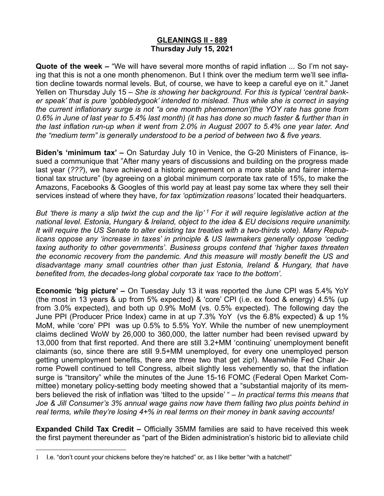# **GLEANINGS II - 889 Thursday July 15, 2021**

**Quote of the week –** "We will have several more months of rapid inflation ... So I'm not saying that this is not a one month phenomenon. But I think over the medium term we'll see inflation decline towards normal levels. But, of course, we have to keep a careful eye on it." Janet Yellen on Thursday July 15 – *She is showing her background. For this is typical 'central banker speak' that is pure 'gobbledygook' intended to mislead. Thus while she is correct in saying the current inflationary surge is not "a one month phenomenon'(the YOY rate has gone from 0.6% in June of last year to 5.4% last month) (it has has done so much faster & further than in the last inflation run-up when it went from 2.0% in August 2007 to 5.4% one year later. And the "medium term" is generally understood to be a period of between two & five years.* 

**Biden's 'minimum tax' –** On Saturday July 10 in Venice, the G-20 Ministers of Finance, issued a communique that "After many years of discussions and building on the progress made last year (*???*), we have achieved a historic agreement on a more stable and fairer international tax structure" (by agreeing on a global minimum corporate tax rate of 15%, to make the Amazons, Facebooks & Googles of this world pay at least pay some tax where they sell their services instead of where they have, *for tax 'optimization reasons'* located their headquarters.

*But 'there is many a slip twixt the cup and the lip' 1 For it will require legislative action at the national level. Estonia, Hungary & Ireland, object to the idea & EU decisions require unanimity. It will require the US Senate to alter existing tax treaties with a two-thirds vote). Many Republicans oppose any 'increase in taxes' in principle & US lawmakers generally oppose 'ceding taxing authority to other governments'. Business groups contend that 'higher taxes threaten the economic recovery from the pandemic. And this measure will mostly benefit the US and disadvantage many small countries other than just Estonia, Ireland & Hungary, that have benefited from, the decades-long global corporate tax 'race to the bottom'.* 

**Economic 'big picture' –** On Tuesday July 13 it was reported the June CPI was 5.4% YoY (the most in 13 years & up from 5% expected) & 'core' CPI (i.e. ex food & energy) 4.5% (up from 3.0% expected), and both up 0.9% MoM (vs. 0.5% expected). The following day the June PPI (Producer Price Index) came in at up 7.3% YoY (vs the 6.8% expected) & up 1% MoM, while 'core' PPI was up 0.5% to 5.5% YoY. While the number of new unemployment claims declined WoW by 26,000 to 360,000, the latter number had been revised upward by 13,000 from that first reported. And there are still 3.2+MM 'continuing' unemployment benefit claimants (so, since there are still 9.5+MM unemployed, for every one unemployed person getting unemployment benefits, there are three two that get zip!). Meanwhile Fed Chair Jerome Powell continued to tell Congress, albeit slightly less vehemently so, that the inflation surge is "transitory" while the minutes of the June 15-16 FOMC (Federal Open Market Committee) monetary policy-setting body meeting showed that a "substantial majority of its members believed the risk of inflation was 'tilted to the upside' " – *In practical terms this means that Joe & Jill Consumer's 3% annual wage gains now have them falling two plus points behind in real terms, while they're losing 4+% in real terms on their money in bank saving accounts!*

**Expanded Child Tax Credit –** Officially 35MM families are said to have received this week the first payment thereunder as "part of the Biden administration's historic bid to alleviate child

<sup>1</sup> I.e. "don't count your chickens before they're hatched" or, as I like better "with a hatchet!"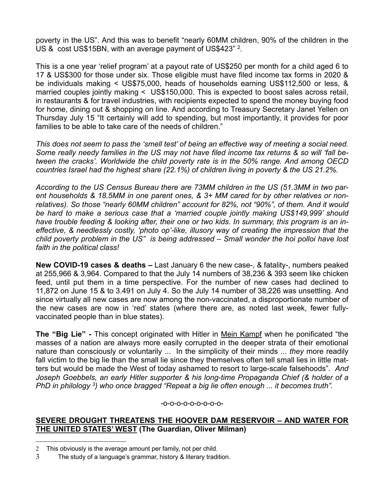poverty in the US". And this was to benefit "nearly 60MM children, 90% of the children in the US & cost US\$15BN, with an average payment of US\$423" <sup>2</sup>.

This is a one year 'relief program' at a payout rate of US\$250 per month for a child aged 6 to 17 & US\$300 for those under six. Those eligible must have filed income tax forms in 2020 & be individuals making < US\$75,000, heads of households earning US\$112,500 or less, & married couples jointly making < US\$150,000. This is expected to boost sales across retail, in restaurants & for travel industries, with recipients expected to spend the money buying food for home, dining out & shopping on line. And according to Treasury Secretary Janet Yellen on Thursday July 15 "It certainly will add to spending, but most importantly, it provides for poor families to be able to take care of the needs of children."

*This does not seem to pass the 'smell test' of being an effective way of meeting a social need. Some really needy families in the US may not have filed income tax returns & so will 'fall between the cracks'. Worldwide the child poverty rate is in the 50% range. And among OECD countries Israel had the highest share (22.1%) of children living in poverty & the US 21.2%.* 

*According to the US Census Bureau there are 73MM children in the US (51.3MM in two parent households & 18.5MM in one parent ones, & 3+ MM cared for by other relatives or nonrelatives). So those "nearly 60MM children" account for 82%, not "90%", of them. And it would be hard to make a serious case that a 'married couple jointly making US\$149,999' should have trouble feeding & looking after, their one or two kids. In summary, this program is an ineffective, & needlessly costly, 'photo op'-like, illusory way of creating the impression that the child poverty problem in the US" is being addressed – Small wonder the hoi polloi have lost faith in the political class!*

**New COVID-19 cases & deaths –** Last January 6 the new case-, & fatality-, numbers peaked at 255,966 & 3,964. Compared to that the July 14 numbers of 38,236 & 393 seem like chicken feed, until put them in a time perspective. For the number of new cases had declined to 11,872 on June 15 & to 3.491 on July 4. So the July 14 number of 38,226 was unsettling. And since virtually all new cases are now among the non-vaccinated, a disproportionate number of the new cases are now in 'red' states (where there are, as noted last week, fewer fullyvaccinated people than in blue states).

**The "Big Lie" -** This concept originated with Hitler in Mein Kampf when he ponificated "the masses of a nation are always more easily corrupted in the deeper strata of their emotional nature than consciously or voluntarily ... In the simplicity of their minds ... *they* more readily fall victim to the big lie than the small lie since they themselves often tell small lies in little matters but would be made the West of today ashamed to resort to large-scale falsehoods". *And Joseph Goebbels, an early Hitler supporter & his long-time Propaganda Chief (& holder of a PhD in philology* <sup>3</sup>) who once bragged "Repeat a big lie often enough ... it becomes truth".

#### -o-o-o-o-o-o-o-o-o-

# **SEVERE DROUGHT THREATENS THE HOOVER DAM RESERVOIR – AND WATER FOR THE UNITED STATES' WEST (The Guardian, Oliver Milman)**

<sup>2</sup> This obviously is the average amount per family, not per child.

<sup>3</sup> The study of a language's grammar, history & literary tradition.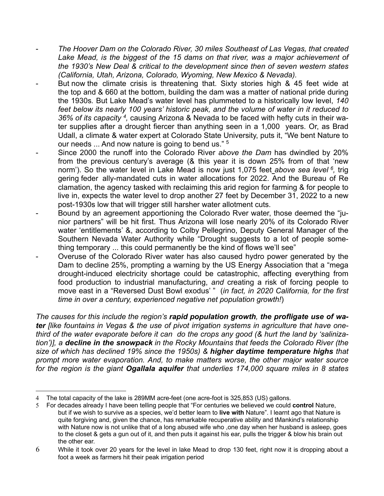- *The Hoover Dam on the Colorado River, 30 miles Southeast of Las Vegas, that created*  Lake Mead, is the biggest of the 15 dams on that river, was a major achievement of *the 1930's New Deal & critical to the development since then of seven western states (California, Utah, Arizona, Colorado, Wyoming, New Mexico & Nevada).*
- But now the climate crisis is threatening that. Sixty stories high & 45 feet wide at the top and & 660 at the bottom, building the dam was a matter of national pride during the 1930s*.* But Lake Mead's water level has plummeted to a historically low level, *140 feet below its nearly 100 years' historic peak, and the volume of water in it reduced to 36% of its capacity 4,* causing Arizona & Nevada to be faced with hefty cuts in their water supplies after a drought fiercer than anything seen in a 1,000 years. Or, as Brad Udall, a climate & water expert at Colorado State University, puts it, "We bent Nature to our needs ... And now nature is going to bend us." <sup>5</sup>
- Since 2000 the runoff into the Colorado River *above the Dam* has dwindled by 20% from the previous century's average (& this year it is down 25% from of that 'new norm'). So the water level in Lake Mead is now just 1,075 feet *above sea level 6,* trig gering feder ally-mandated cuts in water allocations for 2022. And the Bureau of Re clamation, the agency tasked with reclaiming this arid region for farming & for people to live in, expects the water level to drop another 27 feet by December 31, 2022 to a new post-1930s low that will trigger still harsher water allotment cuts.
- Bound by an agreement apportioning the Colorado Rver water, those deemed the "junior partners" will be hit first. Thus Arizona will lose nearly 20% of its Colorado River water 'entitlements' &, according to Colby Pellegrino, Deputy General Manager of the Southern Nevada Water Authority while "Drought suggests to a lot of people something temporary ... this could permanently be the kind of flows we'll see"
- Overuse of the Colorado River water has also caused hydro power generated by the Dam to decline 25%, prompting a warning by the US Energy Association that a "mega drought-induced electricity shortage could be catastrophic, affecting everything from food production to industrial manufacturing, *and* creating a risk of forcing people to move east in a "Reversed Dust Bowl exodus' " (*in fact, in 2020 California, for the first time in over a century, experienced negative net population growth!*)

*The causes for this include the region's rapid population growth, the profligate use of water [like fountains in Vegas & the use of pivot irrigation systems in agriculture that have onethird of the water evaporate before it can do the crops any good (& hurt the land by 'salinization')], a decline in the snowpack in the Rocky Mountains that feeds the Colorado River (the size of which has declined 19% since the 1950s) & higher daytime temperature highs that prompt more water evaporation. And, to make matters worse, the other major water source for the region is the giant Ogallala aquifer that underlies 174,000 square miles in 8 states* 

<sup>4</sup> The total capacity of the lake is 289MM acre-feet (one acre-foot is 325,853 (US) gallons.

<sup>5</sup> For decades already I have been telling people that "For centuries we believed we could **control** Nature, but if we wish to survive as a species, we'd better learn to **live with** Nature". I learnt ago that Nature is quite forgiving and, given the chance, has remarkable recuperative ability and tMankind's relationship with Nature now is not unlike that of a long abused wife who ,one day when her husband is asleep, goes to the closet & gets a gun out of it, and then puts it against his ear, pulls the trigger & blow his brain out the other ear.

<sup>6</sup> While it took over 20 years for the level in lake Mead to drop 130 feet, right now it is dropping about a foot a week as farmers hit their peak irrigation period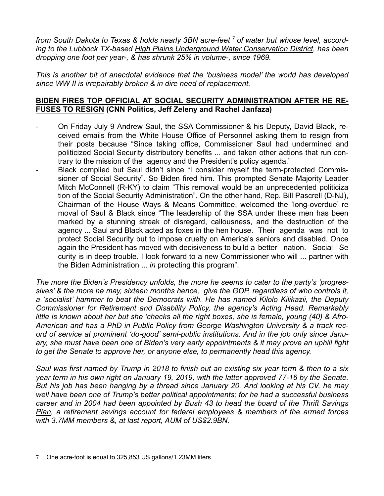*from South Dakota to Texas & holds nearly 3BN acre-feet 7 of water but whose level, according to the Lubbock TX-based High Plains Underground Water Conservation District, has been dropping one foot per year-, & has shrunk 25% in volume-, since 1969.* 

*This is another bit of anecdotal evidence that the 'business model' the world has developed since WW II is irrepairably broken & in dire need of replacement.* 

### **BIDEN FIRES TOP OFFICIAL AT SOCIAL SECURITY ADMINISTRATION AFTER HE RE-FUSES TO RESIGN (CNN Politics, Jeff Zeleny and Rachel Janfaza)**

- On Friday July 9 Andrew Saul, the SSA Commissioner & his Deputy, David Black, received emails from the White House Office of Personnel asking them to resign from their posts because "Since taking office, Commissioner Saul had undermined and politicized Social Security distributory benefits ... and taken other actions that run contrary to the mission of the agency and the President's policy agenda."
- Black complied but Saul didn't since "I consider myself the term-protected Commissioner of Social Security". So Biden fired him. This prompted Senate Majority Leader Mitch McConnell (R-KY) to claim "This removal would be an unprecedented politiciza tion of the Social Security Administration". On the other hand, Rep. Bill Pascrell (D-NJ), Chairman of the House Ways & Means Committee, welcomed the 'long-overdue' re moval of Saul & Black since "The leadership of the SSA under these men has been marked by a stunning streak of disregard, callousness, and the destruction of the agency ... Saul and Black acted as foxes in the hen house. Their agenda was not to protect Social Security but to impose cruelty on America's seniors and disabled. Once again the President has moved with decisiveness to build a better nation. Social Se curity is in deep trouble. I look forward to a new Commissioner who will ... partner with the Biden Administration ... *in* protecting this program".

*The more the Biden's Presidency unfolds, the more he seems to cater to the party's 'progressives' & the more he may, sixteen months hence, give the GOP, regardless of who controls it, a 'socialist' hammer to beat the Democrats with. He has named Kilolo Kilikazii, the Deputy Commissioner for Retirement and Disability Policy, the agency's Acting Head. Remarkably little is known about her but she 'checks all the right boxes, she is female, young (40) & Afro-American and has a PhD in Public Policy from George Washington University & a track record of service at prominent 'do-good' semi-public institutions. And in the job only since January, she must have been one of Biden's very early appointments & it may prove an uphill fight to get the Senate to approve her, or anyone else, to permanently head this agency.*

*Saul was first named by Trump in 2018 to finish out an existing six year term & then to a six year term in his own right on January 19, 2019, with the latter approved 77-16 by the Senate. But his job has been hanging by a thread since January 20. And looking at his CV, he may well have been one of Trump's better political appointments; for he had a successful business career and in 2004 had been appointed by Bush 43 to head the board of the Thrift Savings Plan, a retirement savings account for federal employees & members of the armed forces with 3.7MM members &, at last report, AUM of US\$2.9BN.*

<sup>7</sup> One acre-foot is equal to 325,853 US gallons/1.23MM liters.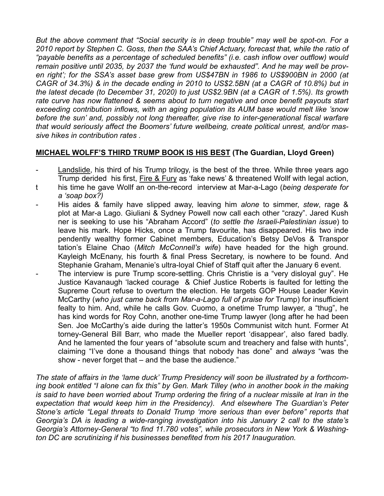*But the above comment that "Social security is in deep trouble" may well be spot-on. For a 2010 report by Stephen C. Goss, then the SAA's Chief Actuary, forecast that, while the ratio of "payable benefits as a percentage of scheduled benefits" (i.e. cash inflow over outflow) would remain positive until 2035, by 2037 the 'fund would be exhausted". And he may well be proven right'; for the SSA's asset base grew from US\$47BN in 1986 to US\$900BN in 2000 (at CAGR of 34.3%) & in the decade ending in 2010 to US\$2.5BN (at a CAGR of 10.8%) but in the latest decade (to December 31, 2020) to just US\$2.9BN (at a CAGR of 1.5%). Its growth rate curve has now flattened & seems about to turn negative and once benefit payouts start exceeding contribution inflows, with an aging population its AUM base would melt like 'snow before the sun' and, possibly not long thereafter, give rise to inter-generational fiscal warfare that would seriously affect the Boomers' future wellbeing, create political unrest, and/or massive hikes in contribution rates .*

# **MICHAEL WOLFF'S THIRD TRUMP BOOK IS HIS BEST (The Guardian, Lloyd Green)**

- Landslide, his third of his Trump trilogy, is the best of the three. While three years ago Trump derided his first, Fire & Fury as 'fake news' & threatened Wollf with legal action,
- t his time he gave Wollf an on-the-record interview at Mar-a-Lago (*being desperate for a 'soap box?)*
- His aides & family have slipped away, leaving him *alone* to simmer, *stew*, rage & plot at Mar-a Lago. Giuliani & Sydney Powell now call each other "crazy". Jared Kush ner is seeking to use his "Abraham Accord" (*to settle the Israeli-Palestinian issue*) to leave his mark. Hope Hicks, once a Trump favourite, has disappeared. His two inde pendently wealthy former Cabinet members, Education's Betsy DeVos & Transpor tation's Elaine Chao (*Mitch McConnell's wife*) have headed for the high ground. Kayleigh McEnany, his fourth & final Press Secretary, is nowhere to be found. And Stephanie Graham, Menanie's ultra-loyal Chief of Staff quit after the January 6 event.
- The interview is pure Trump score-settling. Chris Christie is a "very disloyal guy". He Justice Kavanaugh 'lacked courage & Chief Justice Roberts is faulted for letting the Supreme Court refuse to overturn the election. He targets GOP House Leader Kevin McCarthy (*who just came back from Mar-a-Lago full of praise for* Trump) for insufficient fealty to him. And, while he calls Gov. Cuomo, a onetime Trump lawyer, a "thug", he has kind words for Roy Cohn, another one-time Trump lawyer (long after he had been Sen. Joe McCarthy's aide during the latter's 1950s Communist witch hunt. Former At torney-General Bill Barr, who made the Mueller report 'disappear', also fared badly. And he lamented the four years of "absolute scum and treachery and false with hunts", claiming "I've done a thousand things that nobody has done" and *always* "was the show - never forget that – and the base the audience."

*The state of affairs in the 'lame duck' Trump Presidency will soon be illustrated by a forthcoming book entitled "I alone can fix this" by Gen. Mark Tilley (who in another book in the making is said to have been worried about Trump ordering the firing of a nuclear missile at Iran in the expectation that would keep him in the Presidency). And elsewhere The Guardian's Peter Stone's article "Legal threats to Donald Trump 'more serious than ever before" reports that Georgia's DA is leading a wide-ranging investigation into his January 2 call to the state's Georgia's Attorney-General "to find 11.780 votes", while prosecutors in New York & Washington DC are scrutinizing if his businesses benefited from his 2017 Inauguration.*